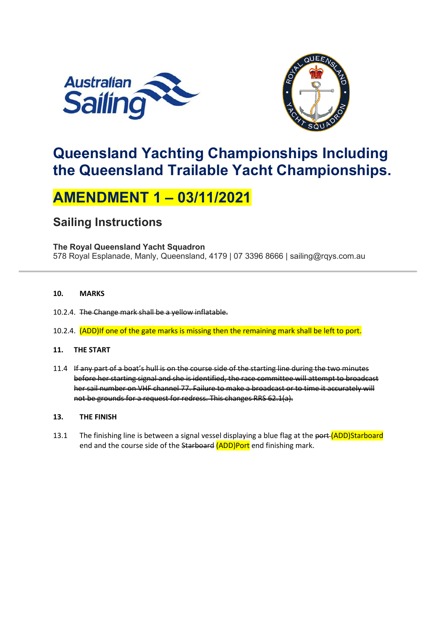



# **Queensland Yachting Championships Including the Queensland Trailable Yacht Championships.**

# **AMENDMENT 1 – 03/11/2021**

### **Sailing Instructions**

#### **The Royal Queensland Yacht Squadron**

578 Royal Esplanade, Manly, Queensland, 4179 | 07 3396 8666 | sailing@rqys.com.au

#### **10. MARKS**

- 10.2.4. The Change mark shall be a yellow inflatable.
- 10.2.4. (ADD)If one of the gate marks is missing then the remaining mark shall be left to port.

#### **11. THE START**

11.4 If any part of a boat's hull is on the course side of the starting line during the two minutes before her starting signal and she is identified, the race committee will attempt to broadcast her sail number on VHF channel 77. Failure to make a broadcast or to time it accurately will not be grounds for a request for redress. This changes RRS 62.1(a).

#### **13. THE FINISH**

13.1 The finishing line is between a signal vessel displaying a blue flag at the port (ADD)Starboard end and the course side of the Starboard (ADD)Port end finishing mark.